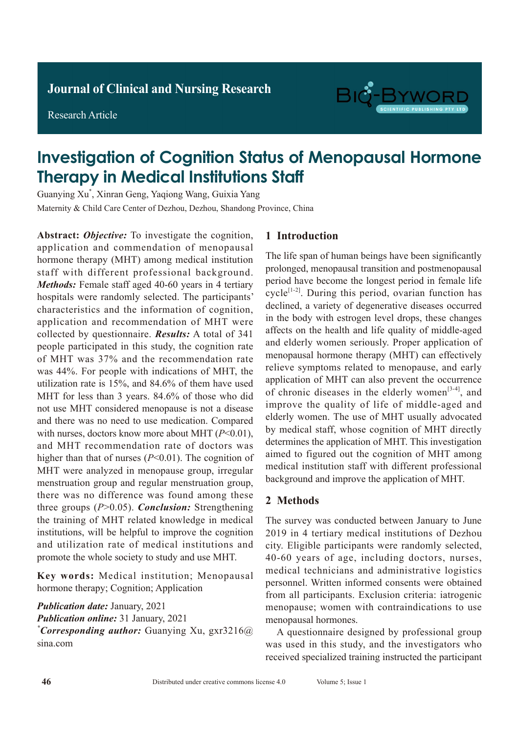Research Article



# Investigation of Cognition Status of Menopausal Hormone Therapy in Medical Institutions Staff

Guanying Xu\* , Xinran Geng, Yaqiong Wang, Guixia Yang Maternity & Child Care Center of Dezhou, Dezhou, Shandong Province, China

**Abstract:** *Objective:* To investigate the cognition, application and commendation of menopausal hormone therapy (MHT) among medical institution staff with different professional background. *Methods:* Female staff aged 40-60 years in 4 tertiary hospitals were randomly selected. The participants' characteristics and the information of cognition, application and recommendation of MHT were collected by questionnaire. *Results:* A total of 341 people participated in this study, the cognition rate of MHT was 37% and the recommendation rate was 44%. For people with indications of MHT, the utilization rate is 15%, and 84.6% of them have used MHT for less than 3 years. 84.6% of those who did not use MHT considered menopause is not a disease and there was no need to use medication. Compared with nurses, doctors know more about MHT (*P*<0.01), and MHT recommendation rate of doctors was higher than that of nurses (*P*<0.01). The cognition of MHT were analyzed in menopause group, irregular menstruation group and regular menstruation group, there was no difference was found among these three groups (*P*>0.05). *Conclusion:* Strengthening the training of MHT related knowledge in medical institutions, will be helpful to improve the cognition and utilization rate of medical institutions and promote the whole society to study and use MHT.

**Key words:** Medical institution; Menopausal hormone therapy; Cognition; Application

*Publication date:* January, 2021 *Publication online:* 31 January, 2021 *\* Corresponding author:* Guanying Xu, gxr3216@ sina.com

### **1 Introduction**

The life span of human beings have been significantly prolonged, menopausal transition and postmenopausal period have become the longest period in female life cycle<sup> $[1-2]$ </sup>. During this period, ovarian function has declined, a variety of degenerative diseases occurred in the body with estrogen level drops, these changes affects on the health and life quality of middle-aged and elderly women seriously. Proper application of menopausal hormone therapy (MHT) can effectively relieve symptoms related to menopause, and early application of MHT can also prevent the occurrence of chronic diseases in the elderly women<sup>[3-4]</sup>, and improve the quality of life of middle-aged and elderly women. The use of MHT usually advocated by medical staff, whose cognition of MHT directly determines the application of MHT. This investigation aimed to figured out the cognition of MHT among medical institution staff with different professional background and improve the application of MHT.

#### **2 Methods**

The survey was conducted between January to June 2019 in 4 tertiary medical institutions of Dezhou city. Eligible participants were randomly selected, 40-60 years of age, including doctors, nurses, medical technicians and administrative logistics personnel. Written informed consents were obtained from all participants. Exclusion criteria: iatrogenic menopause; women with contraindications to use menopausal hormones.

A questionnaire designed by professional group was used in this study, and the investigators who received specialized training instructed the participant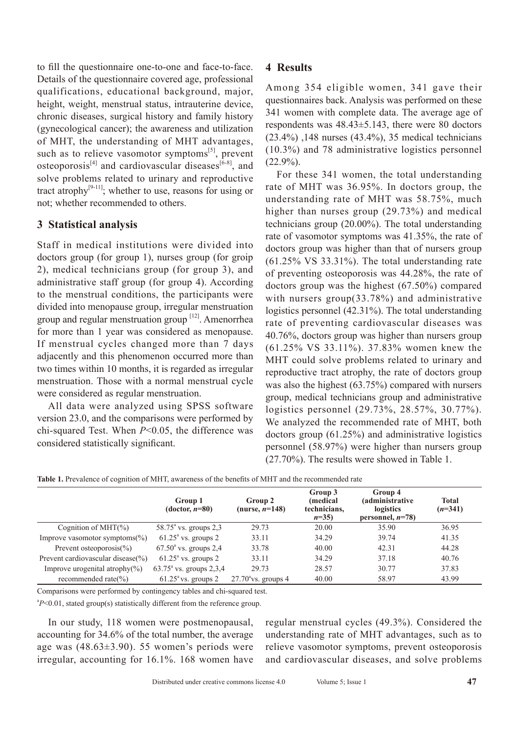to fill the questionnaire one-to-one and face-to-face. Details of the questionnaire covered age, professional qualifications, educational background, major, height, weight, menstrual status, intrauterine device, chronic diseases, surgical history and family history (gynecological cancer); the awareness and utilization of MHT, the understanding of MHT advantages, such as to relieve vasomotor symptoms $[5]$ , prevent osteoporosis<sup>[4]</sup> and cardiovascular diseases<sup>[6-8]</sup>, and solve problems related to urinary and reproductive tract atrophy $[9-11]$ ; whether to use, reasons for using or not; whether recommended to others.

# **3 Statistical analysis**

Staff in medical institutions were divided into doctors group (for group 1), nurses group (for groip 2), medical technicians group (for group 3), and administrative staff group (for group 4). According to the menstrual conditions, the participants were divided into menopause group, irregular menstruation group and regular menstruation group [12]. Amenorrhea for more than 1 year was considered as menopause. If menstrual cycles changed more than 7 days adjacently and this phenomenon occurred more than two times within 10 months, it is regarded as irregular menstruation. Those with a normal menstrual cycle were considered as regular menstruation.

All data were analyzed using SPSS software version 23.0, and the comparisons were performed by chi-squared Test. When *P*<0.05, the difference was considered statistically significant.

# **4 Results**

Among 354 eligible women, 341 gave their questionnaires back. Analysis was performed on these 341 women with complete data. The average age of respondents was 48.43±5.143, there were 80 doctors (23.4%) ,148 nurses (43.4%), 35 medical technicians (10.3%) and 78 administrative logistics personnel  $(22.9\%)$ .

For these 341 women, the total understanding rate of MHT was 36.95%. In doctors group, the understanding rate of MHT was 58.75%, much higher than nurses group (29.73%) and medical technicians group (20.00%). The total understanding rate of vasomotor symptoms was 41.35%, the rate of doctors group was higher than that of nursers group (61.25% VS 33.31%). The total understanding rate of preventing osteoporosis was 44.28%, the rate of doctors group was the highest (67.50%) compared with nursers group(33.78%) and administrative logistics personnel (42.31%). The total understanding rate of preventing cardiovascular diseases was 40.76%, doctors group was higher than nursers group (61.25% VS 33.11%). 37.83% women knew the MHT could solve problems related to urinary and reproductive tract atrophy, the rate of doctors group was also the highest (63.75%) compared with nursers group, medical technicians group and administrative logistics personnel (29.73%, 28.57%, 30.77%). We analyzed the recommended rate of MHT, both doctors group (61.25%) and administrative logistics personnel (58.97%) were higher than nursers group (27.70%). The results were showed in Table 1.

**Table 1.** Prevalence of cognition of MHT, awareness of the benefits of MHT and the recommended rate

|                                        | Group 1<br>$(dotor, n=80)$       | Group 2<br>(nurse, $n=148$ ) | Group 3<br><i>(medical)</i><br>technicians,<br>$n=35$ | Group 4<br><i>(administrative)</i><br>logistics<br>personnel, $n=78$ ) | <b>Total</b><br>$(n=341)$ |
|----------------------------------------|----------------------------------|------------------------------|-------------------------------------------------------|------------------------------------------------------------------------|---------------------------|
| Cognition of MHT $(\%)$                | $58.75^{\circ}$ vs. groups 2,3   | 29.73                        | 20.00                                                 | 35.90                                                                  | 36.95                     |
| Improve vasomotor symptoms( $\%$ )     | $61.25a$ vs. groups 2            | 33.11                        | 34.29                                                 | 39.74                                                                  | 41.35                     |
| Prevent osteoporosis( $\%$ )           | $67.50^{\circ}$ vs. groups 2,4   | 33.78                        | 40.00                                                 | 42.31                                                                  | 44.28                     |
| Prevent cardiovascular disease $(\% )$ | $61.25^{\circ}$ vs. groups 2     | 33.11                        | 34.29                                                 | 37.18                                                                  | 40.76                     |
| Improve urogenital atrophy $(\% )$     | $63.75^{\circ}$ vs. groups 2,3,4 | 29.73                        | 28.57                                                 | 30.77                                                                  | 37.83                     |
| recommended rate $(\% )$               | $61.25^{\circ}$ vs. groups 2     | $27.70^{\circ}$ vs. groups 4 | 40.00                                                 | 58.97                                                                  | 43.99                     |

Comparisons were performed by contingency tables and chi-squared test.

<sup>a</sup>P<0.01, stated group(s) statistically different from the reference group.

In our study, 118 women were postmenopausal, accounting for 34.6% of the total number, the average age was (48.63±3.90). 55 women's periods were irregular, accounting for 16.1%. 168 women have regular menstrual cycles (49.3%). Considered the understanding rate of MHT advantages, such as to relieve vasomotor symptoms, prevent osteoporosis and cardiovascular diseases, and solve problems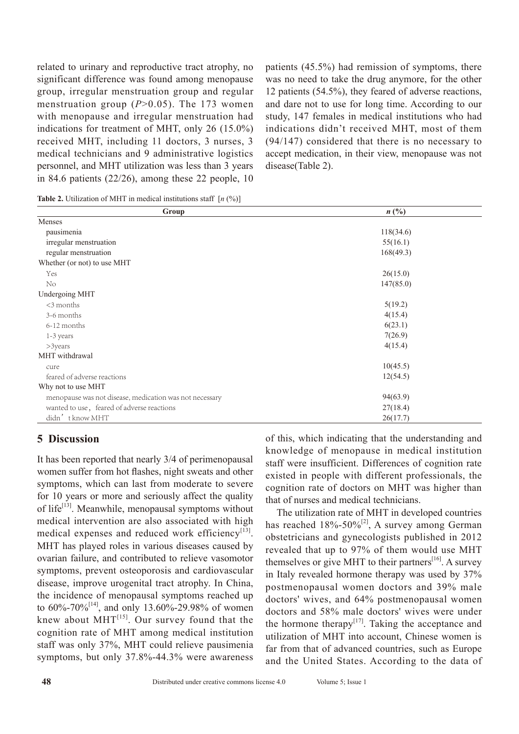related to urinary and reproductive tract atrophy, no significant difference was found among menopause group, irregular menstruation group and regular menstruation group (*P*>0.05). The 173 women with menopause and irregular menstruation had indications for treatment of MHT, only 26 (15.0%) received MHT, including 11 doctors, 3 nurses, 3 medical technicians and 9 administrative logistics personnel, and MHT utilization was less than 3 years in 84.6 patients  $(22/26)$ , among these 22 people, 10 patients (45.5%) had remission of symptoms, there was no need to take the drug anymore, for the other 12 patients (54.5%), they feared of adverse reactions, and dare not to use for long time. According to our study, 147 females in medical institutions who had indications didn't received MHT, most of them (94/147) considered that there is no necessary to accept medication, in their view, menopause was not disease(Table 2).

**Table 2.** Utilization of MHT in medical institutions staff  $[n \binom{0}{0}]$ 

| Group                                                   | $n\left(\frac{0}{0}\right)$ |  |  |
|---------------------------------------------------------|-----------------------------|--|--|
| Menses                                                  |                             |  |  |
| pausimenia                                              | 118(34.6)                   |  |  |
| irregular menstruation                                  | 55(16.1)                    |  |  |
| regular menstruation                                    | 168(49.3)                   |  |  |
| Whether (or not) to use MHT                             |                             |  |  |
| Yes                                                     | 26(15.0)                    |  |  |
| No                                                      | 147(85.0)                   |  |  |
| <b>Undergoing MHT</b>                                   |                             |  |  |
| $<$ 3 months                                            | 5(19.2)                     |  |  |
| 3-6 months                                              | 4(15.4)                     |  |  |
| 6-12 months                                             | 6(23.1)                     |  |  |
| 1-3 years                                               | 7(26.9)                     |  |  |
| $>$ 3years                                              | 4(15.4)                     |  |  |
| MHT withdrawal                                          |                             |  |  |
| cure                                                    | 10(45.5)                    |  |  |
| feared of adverse reactions                             | 12(54.5)                    |  |  |
| Why not to use MHT                                      |                             |  |  |
| menopause was not disease, medication was not necessary | 94(63.9)                    |  |  |
| wanted to use, feared of adverse reactions              | 27(18.4)                    |  |  |
| didn't know MHT                                         | 26(17.7)                    |  |  |

## **5 Discussion**

It has been reported that nearly 3/4 of perimenopausal women suffer from hot flashes, night sweats and other symptoms, which can last from moderate to severe for 10 years or more and seriously affect the quality of life<sup>[13]</sup>. Meanwhile, menopausal symptoms without medical intervention are also associated with high medical expenses and reduced work efficiency<sup>[13]</sup>. MHT has played roles in various diseases caused by ovarian failure, and contributed to relieve vasomotor symptoms, prevent osteoporosis and cardiovascular disease, improve urogenital tract atrophy. In China, the incidence of menopausal symptoms reached up to  $60\% - 70\%^{[14]}$ , and only 13.60%-29.98% of women knew about  $MHT^{[15]}$ . Our survey found that the cognition rate of MHT among medical institution staff was only 37%, MHT could relieve pausimenia symptoms, but only 37.8%-44.3% were awareness of this, which indicating that the understanding and knowledge of menopause in medical institution staff were insufficient. Differences of cognition rate existed in people with different professionals, the cognition rate of doctors on MHT was higher than that of nurses and medical technicians.

The utilization rate of MHT in developed countries has reached  $18\% - 50\%^{[2]}$ , A survey among German obstetricians and gynecologists published in 2012 revealed that up to 97% of them would use MHT themselves or give MHT to their partners<sup>[16]</sup>. A survey in Italy revealed hormone therapy was used by 37% postmenopausal women doctors and 39% male doctors' wives, and 64% postmenopausal women doctors and 58% male doctors' wives were under the hormone therapy $[17]$ . Taking the acceptance and utilization of MHT into account, Chinese women is far from that of advanced countries, such as Europe and the United States. According to the data of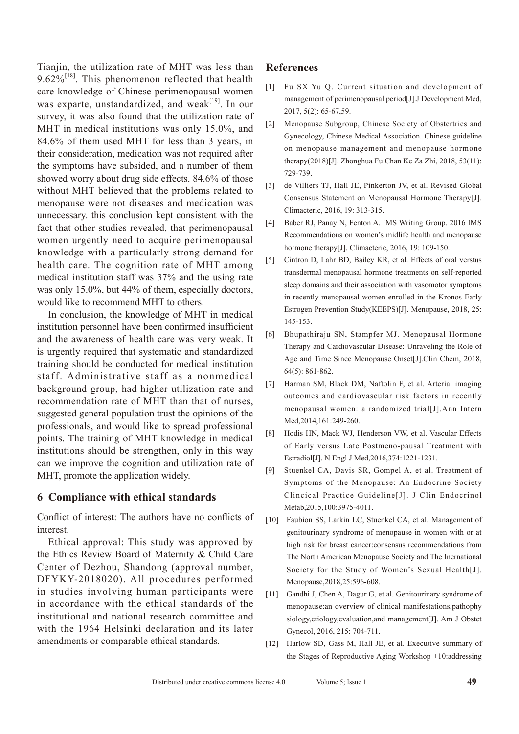Tianjin, the utilization rate of MHT was less than  $9.62\%$ <sup>[18]</sup>. This phenomenon reflected that health care knowledge of Chinese perimenopausal women was exparte, unstandardized, and weak $[19]$ . In our survey, it was also found that the utilization rate of MHT in medical institutions was only 15.0%, and 84.6% of them used MHT for less than 3 years, in their consideration, medication was not required after the symptoms have subsided, and a number of them showed worry about drug side effects. 84.6% of those without MHT believed that the problems related to menopause were not diseases and medication was unnecessary. this conclusion kept consistent with the fact that other studies revealed, that perimenopausal women urgently need to acquire perimenopausal knowledge with a particularly strong demand for health care. The cognition rate of MHT among medical institution staff was 37% and the using rate was only 15.0%, but 44% of them, especially doctors, would like to recommend MHT to others.

In conclusion, the knowledge of MHT in medical institution personnel have been confirmed insufficient and the awareness of health care was very weak. It is urgently required that systematic and standardized training should be conducted for medical institution staff. Administrative staff as a nonmedical background group, had higher utilization rate and recommendation rate of MHT than that of nurses, suggested general population trust the opinions of the professionals, and would like to spread professional points. The training of MHT knowledge in medical institutions should be strengthen, only in this way can we improve the cognition and utilization rate of MHT, promote the application widely.

#### **6 Compliance with ethical standards**

Conflict of interest: The authors have no conflicts of interest.

Ethical approval: This study was approved by the Ethics Review Board of Maternity & Child Care Center of Dezhou, Shandong (approval number, DFYKY-2018020). All procedures performed in studies involving human participants were in accordance with the ethical standards of the institutional and national research committee and with the 1964 Helsinki declaration and its later amendments or comparable ethical standards.

## **References**

- [1] Fu SX Yu Q. Current situation and development of management of perimenopausal period[J].J Development Med, 2017, 5(2): 65-67,59.
- [2] Menopause Subgroup, Chinese Society of Obstertrics and Gynecology, Chinese Medical Association. Chinese guideline on menopause management and menopause hormone therapy(2018)[J]. Zhonghua Fu Chan Ke Za Zhi, 2018, 53(11): 729-739.
- [3] de Villiers TJ, Hall JE, Pinkerton JV, et al. Revised Global Consensus Statement on Menopausal Hormone Therapy[J]. Climacteric, 2016, 19: 313-315.
- [4] Baber RJ, Panay N, Fenton A. IMS Writing Group. 2016 IMS Recommendations on women's midlife health and menopause hormone therapy[J]. Climacteric, 2016, 19: 109-150.
- [5] Cintron D, Lahr BD, Bailey KR, et al. Effects of oral verstus transdermal menopausal hormone treatments on self-reported sleep domains and their association with vasomotor symptoms in recently menopausal women enrolled in the Kronos Early Estrogen Prevention Study(KEEPS)[J]. Menopause, 2018, 25: 145-153.
- [6] Bhupathiraju SN, Stampfer MJ. Menopausal Hormone Therapy and Cardiovascular Disease: Unraveling the Role of Age and Time Since Menopause Onset[J].Clin Chem, 2018, 64(5): 861-862.
- [7] Harman SM, Black DM, Naftolin F, et al. Arterial imaging outcomes and cardiovascular risk factors in recently menopausal women: a randomized trial[J].Ann Intern Med,2014,161:249-260.
- [8] Hodis HN, Mack WJ, Henderson VW, et al. Vascular Effects of Early versus Late Postmeno-pausal Treatment with Estradiol[J]. N Engl J Med,2016,374:1221-1231.
- [9] Stuenkel CA, Davis SR, Gompel A, et al. Treatment of Symptoms of the Menopause: An Endocrine Society Clincical Practice Guideline[J]. J Clin Endocrinol Metab,2015,100:3975-4011.
- [10] Faubion SS, Larkin LC, Stuenkel CA, et al. Management of genitourinary syndrome of menopause in women with or at high risk for breast cancer:consensus recommendations from The North American Menopause Society and The Inernational Society for the Study of Women's Sexual Health[J]. Menopause,2018,25:596-608.
- [11] Gandhi J, Chen A, Dagur G, et al. Genitourinary syndrome of menopause:an overview of clinical manifestations,pathophy siology,etiology,evaluation,and management[J]. Am J Obstet Gynecol, 2016, 215: 704-711.
- [12] Harlow SD, Gass M, Hall JE, et al. Executive summary of the Stages of Reproductive Aging Workshop +10:addressing